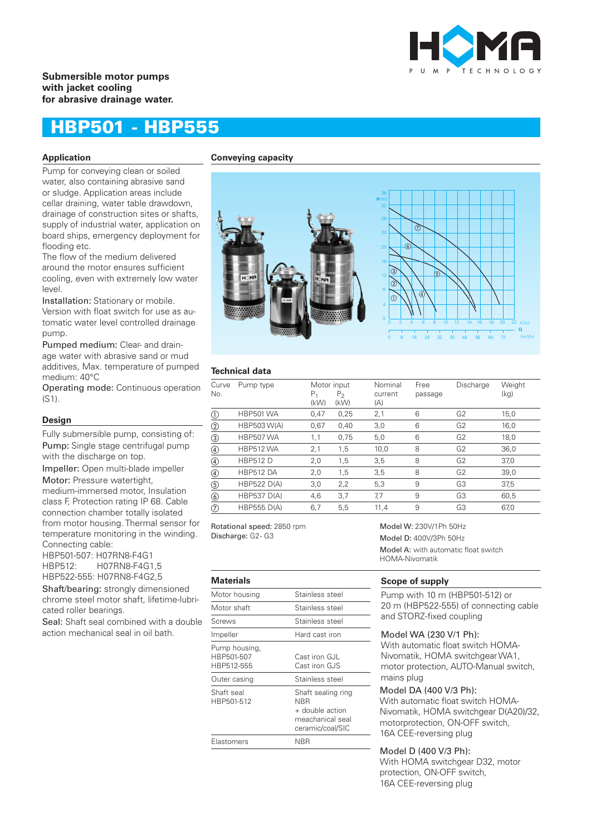

# **Submersible motor pumps with jacket cooling for abrasive drainage water.**

# HBP501 - HBP555

#### **Application Conveying capacity**

Pump for conveying clean or soiled water, also containing abrasive sand or sludge. Application areas include cellar draining, water table drawdown, drainage of construction sites or shafts, supply of industrial water, application on board ships, emergency deployment for flooding etc.

The flow of the medium delivered around the motor ensures sufficient cooling, even with extremely low water level.

Installation: Stationary or mobile. Version with float switch for use as automatic water level controlled drainage pump.

Pumped medium: Clear- and drainage water with abrasive sand or mud additives, Max. temperature of pumped medium: 40°C

Operating mode: Continuous operation (S1).

#### **Design**

Fully submersible pump, consisting of: Pump: Single stage centrifugal pump with the discharge on top.

Impeller: Open multi-blade impeller

Motor: Pressure watertight, medium-immersed motor, Insulation class F, Protection rating IP 68. Cable connection chamber totally isolated from motor housing. Thermal sensor for

temperature monitoring in the winding. Connecting cable:

HBP501-507: H07RN8-F4G1 HBP512: H07RN8-F4G1,5 HBP522-555: H07RN8-F4G2,5

Shaft/bearing: strongly dimensioned chrome steel motor shaft, lifetime-lubricated roller bearings.

Seal: Shaft seal combined with a double action mechanical seal in oil bath.



# **Technical data**

| Curve<br>No.   | Pump type          | Motor input<br>Ρ,<br>(kW) | $P_{2}$<br>(kW) | Nominal<br>current<br>(A) | Free<br>passage | Discharge      | Weight<br>(kg) |
|----------------|--------------------|---------------------------|-----------------|---------------------------|-----------------|----------------|----------------|
| $^\circledR$   | <b>HBP501 WA</b>   | 0,47                      | 0,25            | 2,1                       | 6               | G2             | 15,0           |
| $^{\circledR}$ | <b>HBP503 W(A)</b> | 0,67                      | 0,40            | 3,0                       | 6               | G2             | 16,0           |
| $\circled{3}$  | <b>HBP507 WA</b>   | 1,1                       | 0.75            | 5,0                       | 6               | G <sub>2</sub> | 18,0           |
| $\circled{4}$  | <b>HBP512 WA</b>   | 2,1                       | 1,5             | 10,0                      | 8               | G <sub>2</sub> | 36,0           |
| $\circledA$    | <b>HBP512 D</b>    | 2,0                       | 1,5             | 3,5                       | 8               | G2             | 37,0           |
| $\circled{4}$  | <b>HBP512 DA</b>   | 2,0                       | 1,5             | 3,5                       | 8               | G2             | 39,0           |
| $\circledS$    | <b>HBP522 D(A)</b> | 3,0                       | 2,2             | 5,3                       | 9               | G3             | 37,5           |
| $\circledS$    | <b>HBP537 D(A)</b> | 4,6                       | 3,7             | 7,7                       | 9               | G3             | 60,5           |
| $^\circledR$   | <b>HBP555 D(A)</b> | 6,7                       | 5,5             | 11,4                      | 9               | G3             | 67,0           |

Rotational speed: 2850 rpm Discharge: G2- G3

#### **Materials**

| машнаю                                    |                                                                                             |
|-------------------------------------------|---------------------------------------------------------------------------------------------|
| Motor housing                             | Stainless steel                                                                             |
| Motor shaft                               | Stainless steel                                                                             |
| Screws                                    | Stainless steel                                                                             |
| Impeller                                  | Hard cast iron                                                                              |
| Pump housing,<br>HBP501-507<br>HBP512-555 | Cast iron GJL<br>Cast iron GJS                                                              |
| Outer casing                              | Stainless steel                                                                             |
| Shaft seal<br>HBP501-512                  | Shaft sealing ring<br><b>NBR</b><br>+ double action<br>meachanical seal<br>ceramic/coal/SIC |
| Elastomers                                | NBR                                                                                         |
|                                           |                                                                                             |

Model W: 230V/1Ph 50Hz Model D: 400V/3Ph 50Hz Model A: with automatic float switch HOMA-Nivomatik

# **Scope of supply**

Pump with 10 m (HBP501-512) or 20 m (HBP522-555) of connecting cable and STORZ-fixed coupling

# Model WA (230 V/1 Ph):

With automatic float switch HOMA-Nivomatik, HOMA switchgear WA1, motor protection, AUTO-Manual switch, mains plug

#### Model DA (400 V/3 Ph):

With automatic float switch HOMA-Nivomatik, HOMA switchgear D(A20)/32, motorprotection, ON-OFF switch, 16A CEE-reversing plug

## Model D (400 V/3 Ph):

With HOMA switchgear D32, motor protection, ON-OFF switch, 16A CEE-reversing plug